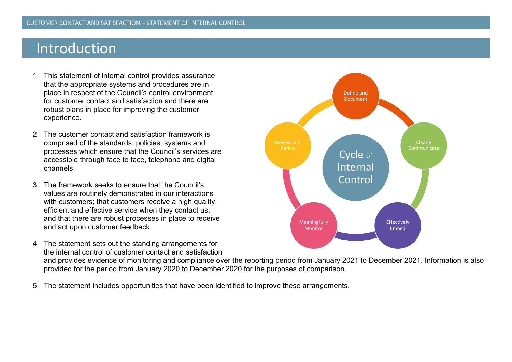# Introduction

- 1. This statement of internal control provides assurance that the appropriate systems and procedures are in place in respect of the Council's control environment for customer contact and satisfaction and there are robust plans in place for improving the customer experience.
- 2. The customer contact and satisfaction framework is comprised of the standards, policies, systems and processes which ensure that the Council's services are accessible through face to face, telephone and digital channels.
- 3. The framework seeks to ensure that the Council's values are routinely demonstrated in our interactions with customers; that customers receive a high quality, efficient and effective service when they contact us; and that there are robust processes in place to receive and act upon customer feedback.
- 4. The statement sets out the standing arrangements for the internal control of customer contact and satisfaction

and provides evidence of monitoring and compliance over the reporting period from January 2021 to December 2021. Information is also provided for the period from January 2020 to December 2020 for the purposes of comparison.

5. The statement includes opportunities that have been identified to improve these arrangements.

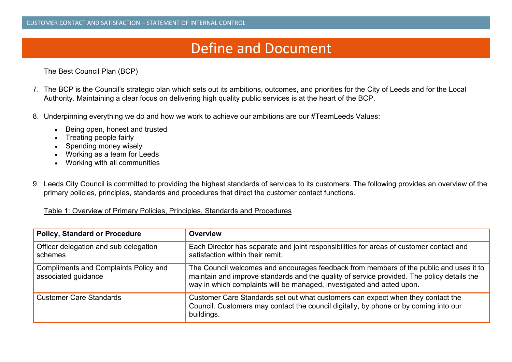# Define and Document

#### The Best Council Plan (BCP)

- 7. The BCP is the Council's strategic plan which sets out its ambitions, outcomes, and priorities for the City of Leeds and for the Local Authority. Maintaining a clear focus on delivering high quality public services is at the heart of the BCP.
- 8. Underpinning everything we do and how we work to achieve our ambitions are our #TeamLeeds Values:
	- Being open, honest and trusted
	- Treating people fairly
	- Spending money wisely
	- Working as a team for Leeds
	- Working with all communities
- 9. Leeds City Council is committed to providing the highest standards of services to its customers. The following provides an overview of the primary policies, principles, standards and procedures that direct the customer contact functions.

#### Table 1: Overview of Primary Policies, Principles, Standards and Procedures

| <b>Policy, Standard or Procedure</b>                                | <b>Overview</b>                                                                                                                                                                                                                                               |
|---------------------------------------------------------------------|---------------------------------------------------------------------------------------------------------------------------------------------------------------------------------------------------------------------------------------------------------------|
| Officer delegation and sub delegation<br>schemes                    | Each Director has separate and joint responsibilities for areas of customer contact and<br>satisfaction within their remit.                                                                                                                                   |
| <b>Compliments and Complaints Policy and</b><br>associated guidance | The Council welcomes and encourages feedback from members of the public and uses it to<br>maintain and improve standards and the quality of service provided. The policy details the<br>way in which complaints will be managed, investigated and acted upon. |
| <b>Customer Care Standards</b>                                      | Customer Care Standards set out what customers can expect when they contact the<br>Council. Customers may contact the council digitally, by phone or by coming into our<br>buildings.                                                                         |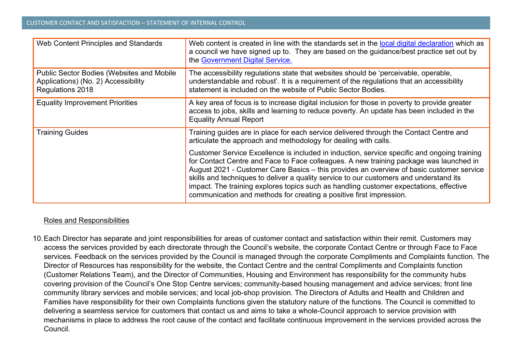| Web Content Principles and Standards                                                                 | Web content is created in line with the standards set in the local digital declaration which as<br>a council we have signed up to. They are based on the guidance/best practice set out by<br>the Government Digital Service.                                                                                                                                                                                                                                                                                                                |
|------------------------------------------------------------------------------------------------------|----------------------------------------------------------------------------------------------------------------------------------------------------------------------------------------------------------------------------------------------------------------------------------------------------------------------------------------------------------------------------------------------------------------------------------------------------------------------------------------------------------------------------------------------|
| Public Sector Bodies (Websites and Mobile<br>Applications) (No. 2) Accessibility<br>Regulations 2018 | The accessibility regulations state that websites should be 'perceivable, operable,<br>understandable and robust'. It is a requirement of the regulations that an accessibility<br>statement is included on the website of Public Sector Bodies.                                                                                                                                                                                                                                                                                             |
| <b>Equality Improvement Priorities</b>                                                               | A key area of focus is to increase digital inclusion for those in poverty to provide greater<br>access to jobs, skills and learning to reduce poverty. An update has been included in the<br><b>Equality Annual Report</b>                                                                                                                                                                                                                                                                                                                   |
| <b>Training Guides</b>                                                                               | Training guides are in place for each service delivered through the Contact Centre and<br>articulate the approach and methodology for dealing with calls.                                                                                                                                                                                                                                                                                                                                                                                    |
|                                                                                                      | Customer Service Excellence is included in induction, service specific and ongoing training<br>for Contact Centre and Face to Face colleagues. A new training package was launched in<br>August 2021 - Customer Care Basics - this provides an overview of basic customer service<br>skills and techniques to deliver a quality service to our customers and understand its<br>impact. The training explores topics such as handling customer expectations, effective<br>communication and methods for creating a positive first impression. |

#### Roles and Responsibilities

10.Each Director has separate and joint responsibilities for areas of customer contact and satisfaction within their remit. Customers may access the services provided by each directorate through the Council's website, the corporate Contact Centre or through Face to Face services. Feedback on the services provided by the Council is managed through the corporate Compliments and Complaints function. The Director of Resources has responsibility for the website, the Contact Centre and the central Compliments and Complaints function (Customer Relations Team), and the Director of Communities, Housing and Environment has responsibility for the community hubs covering provision of the Council's One Stop Centre services; community-based housing management and advice services; front line community library services and mobile services; and local job-shop provision. The Directors of Adults and Health and Children and Families have responsibility for their own Complaints functions given the statutory nature of the functions. The Council is committed to delivering a seamless service for customers that contact us and aims to take a whole-Council approach to service provision with mechanisms in place to address the root cause of the contact and facilitate continuous improvement in the services provided across the Council.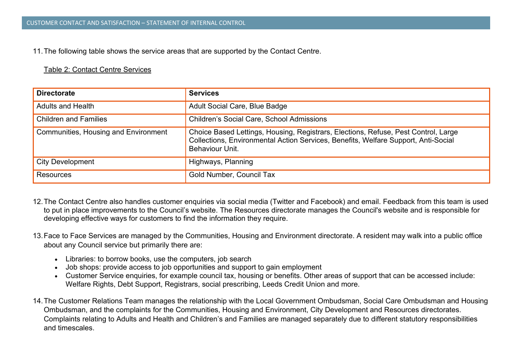11.The following table shows the service areas that are supported by the Contact Centre.

#### Table 2: Contact Centre Services

| <b>Directorate</b>                          | <b>Services</b>                                                                                                                                                                                    |
|---------------------------------------------|----------------------------------------------------------------------------------------------------------------------------------------------------------------------------------------------------|
| <b>Adults and Health</b>                    | <b>Adult Social Care, Blue Badge</b>                                                                                                                                                               |
| <b>Children and Families</b>                | <b>Children's Social Care, School Admissions</b>                                                                                                                                                   |
| <b>Communities, Housing and Environment</b> | Choice Based Lettings, Housing, Registrars, Elections, Refuse, Pest Control, Large<br>Collections, Environmental Action Services, Benefits, Welfare Support, Anti-Social<br><b>Behaviour Unit.</b> |
| <b>City Development</b>                     | Highways, Planning                                                                                                                                                                                 |
| <b>Resources</b>                            | <b>Gold Number, Council Tax</b>                                                                                                                                                                    |

- 12.The Contact Centre also handles customer enquiries via social media (Twitter and Facebook) and email. Feedback from this team is used to put in place improvements to the Council's website. The Resources directorate manages the Council's website and is responsible for developing effective ways for customers to find the information they require.
- 13.Face to Face Services are managed by the Communities, Housing and Environment directorate. A resident may walk into a public office about any Council service but primarily there are:
	- Libraries: to borrow books, use the computers, job search
	- Job shops: provide access to job opportunities and support to gain employment
	- Customer Service enquiries, for example council tax, housing or benefits. Other areas of support that can be accessed include: Welfare Rights, Debt Support, Registrars, social prescribing, Leeds Credit Union and more.
- 14.The Customer Relations Team manages the relationship with the Local Government Ombudsman, Social Care Ombudsman and Housing Ombudsman, and the complaints for the Communities, Housing and Environment, City Development and Resources directorates. Complaints relating to Adults and Health and Children's and Families are managed separately due to different statutory responsibilities and timescales.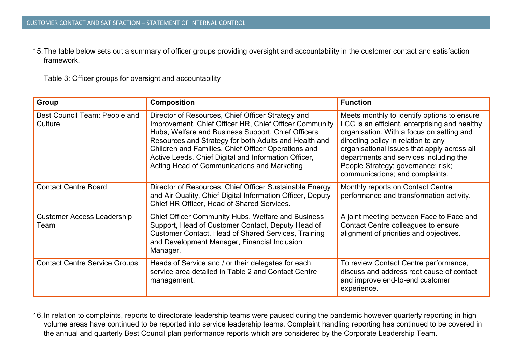15.The table below sets out a summary of officer groups providing oversight and accountability in the customer contact and satisfaction framework.

Table 3: Officer groups for oversight and accountability

| <b>Group</b>                              | <b>Composition</b>                                                                                                                                                                                                                                                                                                                                                                       | <b>Function</b>                                                                                                                                                                                                                                                                                                                                    |
|-------------------------------------------|------------------------------------------------------------------------------------------------------------------------------------------------------------------------------------------------------------------------------------------------------------------------------------------------------------------------------------------------------------------------------------------|----------------------------------------------------------------------------------------------------------------------------------------------------------------------------------------------------------------------------------------------------------------------------------------------------------------------------------------------------|
| Best Council Team: People and<br>Culture  | Director of Resources, Chief Officer Strategy and<br>Improvement, Chief Officer HR, Chief Officer Community<br>Hubs, Welfare and Business Support, Chief Officers<br>Resources and Strategy for both Adults and Health and<br>Children and Families, Chief Officer Operations and<br>Active Leeds, Chief Digital and Information Officer,<br>Acting Head of Communications and Marketing | Meets monthly to identify options to ensure<br>LCC is an efficient, enterprising and healthy<br>organisation. With a focus on setting and<br>directing policy in relation to any<br>organisational issues that apply across all<br>departments and services including the<br>People Strategy; governance; risk;<br>communications; and complaints. |
| <b>Contact Centre Board</b>               | Director of Resources, Chief Officer Sustainable Energy<br>and Air Quality, Chief Digital Information Officer, Deputy<br>Chief HR Officer, Head of Shared Services.                                                                                                                                                                                                                      | Monthly reports on Contact Centre<br>performance and transformation activity.                                                                                                                                                                                                                                                                      |
| <b>Customer Access Leadership</b><br>Team | <b>Chief Officer Community Hubs, Welfare and Business</b><br>Support, Head of Customer Contact, Deputy Head of<br><b>Customer Contact, Head of Shared Services, Training</b><br>and Development Manager, Financial Inclusion<br>Manager.                                                                                                                                                 | A joint meeting between Face to Face and<br>Contact Centre colleagues to ensure<br>alignment of priorities and objectives.                                                                                                                                                                                                                         |
| <b>Contact Centre Service Groups</b>      | Heads of Service and / or their delegates for each<br>service area detailed in Table 2 and Contact Centre<br>management.                                                                                                                                                                                                                                                                 | To review Contact Centre performance,<br>discuss and address root cause of contact<br>and improve end-to-end customer<br>experience.                                                                                                                                                                                                               |

16.In relation to complaints, reports to directorate leadership teams were paused during the pandemic however quarterly reporting in high volume areas have continued to be reported into service leadership teams. Complaint handling reporting has continued to be covered in the annual and quarterly [Best Council plan performance](https://www.leeds.gov.uk/plans-and-strategies/council-plans) reports which are considered by the Corporate Leadership Team.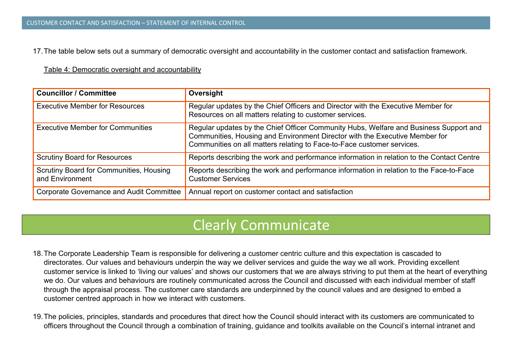17.The table below sets out a summary of democratic oversight and accountability in the customer contact and satisfaction framework.

Table 4: Democratic oversight and accountability

| <b>Councillor / Committee</b>                              | Oversight                                                                                                                                                                                                                                      |
|------------------------------------------------------------|------------------------------------------------------------------------------------------------------------------------------------------------------------------------------------------------------------------------------------------------|
| <b>Executive Member for Resources</b>                      | Regular updates by the Chief Officers and Director with the Executive Member for<br>Resources on all matters relating to customer services.                                                                                                    |
| <b>Executive Member for Communities</b>                    | Regular updates by the Chief Officer Community Hubs, Welfare and Business Support and<br>Communities, Housing and Environment Director with the Executive Member for<br>Communities on all matters relating to Face-to-Face customer services. |
| <b>Scrutiny Board for Resources</b>                        | Reports describing the work and performance information in relation to the Contact Centre                                                                                                                                                      |
| Scrutiny Board for Communities, Housing<br>and Environment | Reports describing the work and performance information in relation to the Face-to-Face<br><b>Customer Services</b>                                                                                                                            |
| <b>Corporate Governance and Audit Committee</b>            | Annual report on customer contact and satisfaction                                                                                                                                                                                             |

# Clearly Communicate

- 18.The Corporate Leadership Team is responsible for delivering a customer centric culture and this expectation is cascaded to directorates. Our values and behaviours underpin the way we deliver services and guide the way we all work. Providing excellent customer service is linked to 'living our values' and shows our customers that we are always striving to put them at the heart of everything we do. Our values and behaviours are routinely communicated across the Council and discussed with each individual member of staff through the appraisal process. The customer care standards are underpinned by the council values and are designed to embed a customer centred approach in how we interact with customers.
- 19.The policies, principles, standards and procedures that direct how the Council should interact with its customers are communicated to officers throughout the Council through a combination of training, guidance and toolkits available on the Council's internal intranet and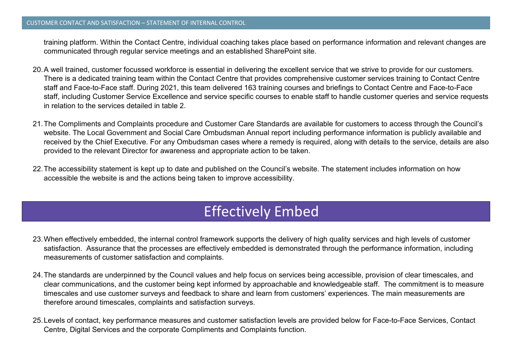#### CUSTOMER CONTACT AND SATISFACTION – STATEMENT OF INTERNAL CONTROL

training platform. Within the Contact Centre, individual coaching takes place based on performance information and relevant changes are communicated through regular service meetings and an established SharePoint site.

- 20.A well trained, customer focussed workforce is essential in delivering the excellent service that we strive to provide for our customers. There is a dedicated training team within the Contact Centre that provides comprehensive customer services training to Contact Centre staff and Face-to-Face staff. During 2021, this team delivered 163 training courses and briefings to Contact Centre and Face-to-Face staff, including Customer Service Excellence and service specific courses to enable staff to handle customer queries and service requests in relation to the services detailed in table 2.
- 21.The Compliments and Complaints procedure and Customer Care Standards are available for customers to access through the Council's website. The Local Government and Social Care Ombudsman [Annual report](https://www.lgo.org.uk/your-councils-performance/leeds-city-council/statistics) including performance information is publicly available and received by the Chief Executive. For any Ombudsman cases where a remedy is required, along with details to the service, details are also provided to the relevant Director for awareness and appropriate action to be taken.
- 22.The accessibility statement is kept up to date and published on the Council's website. The statement includes information on how accessible the website is and the actions being taken to improve accessibility.

# Effectively Embed

- 23.When effectively embedded, the internal control framework supports the delivery of high quality services and high levels of customer satisfaction. Assurance that the processes are effectively embedded is demonstrated through the performance information, including measurements of customer satisfaction and complaints.
- 24.The standards are underpinned by the Council values and help focus on services being accessible, provision of clear timescales, and clear communications, and the customer being kept informed by approachable and knowledgeable staff. The commitment is to measure timescales and use customer surveys and feedback to share and learn from customers' experiences. The main measurements are therefore around timescales, complaints and satisfaction surveys.
- 25.Levels of contact, key performance measures and customer satisfaction levels are provided below for Face-to-Face Services, Contact Centre, Digital Services and the corporate Compliments and Complaints function.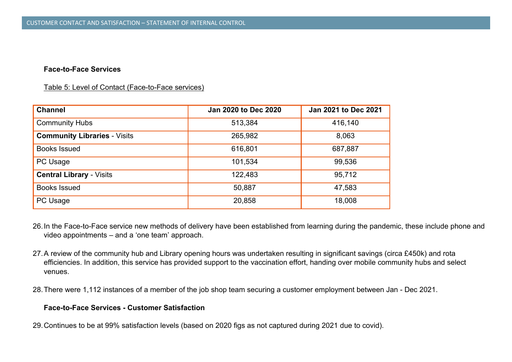#### **Face-to-Face Services**

Table 5: Level of Contact (Face-to-Face services)

| <b>Channel</b>                      | <b>Jan 2020 to Dec 2020</b> | <b>Jan 2021 to Dec 2021</b> |
|-------------------------------------|-----------------------------|-----------------------------|
| <b>Community Hubs</b>               | 513,384                     | 416,140                     |
| <b>Community Libraries - Visits</b> | 265,982                     | 8,063                       |
| <b>Books Issued</b>                 | 616,801                     | 687,887                     |
| PC Usage                            | 101,534                     | 99,536                      |
| <b>Central Library - Visits</b>     | 122,483                     | 95,712                      |
| <b>Books Issued</b>                 | 50,887                      | 47,583                      |
| PC Usage                            | 20,858                      | 18,008                      |

- 26.In the Face-to-Face service new methods of delivery have been established from learning during the pandemic, these include phone and video appointments – and a 'one team' approach.
- 27.A review of the community hub and Library opening hours was undertaken resulting in significant savings (circa £450k) and rota efficiencies. In addition, this service has provided support to the vaccination effort, handing over mobile community hubs and select venues.
- 28.There were 1,112 instances of a member of the job shop team securing a customer employment between Jan Dec 2021.

#### **Face-to-Face Services - Customer Satisfaction**

29.Continues to be at 99% satisfaction levels (based on 2020 figs as not captured during 2021 due to covid).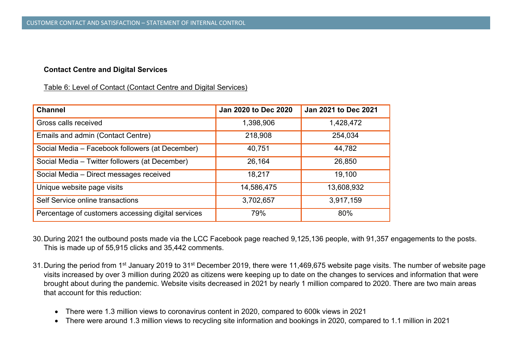#### **Contact Centre and Digital Services**

Table 6: Level of Contact (Contact Centre and Digital Services)

| <b>Channel</b>                                     | <b>Jan 2020 to Dec 2020</b> | <b>Jan 2021 to Dec 2021</b> |
|----------------------------------------------------|-----------------------------|-----------------------------|
| Gross calls received                               | 1,398,906                   | 1,428,472                   |
| Emails and admin (Contact Centre)                  | 218,908                     | 254,034                     |
| Social Media - Facebook followers (at December)    | 40,751                      | 44,782                      |
| Social Media - Twitter followers (at December)     | 26,164                      | 26,850                      |
| Social Media - Direct messages received            | 18,217                      | 19,100                      |
| Unique website page visits                         | 14,586,475                  | 13,608,932                  |
| Self Service online transactions                   | 3,702,657                   | 3,917,159                   |
| Percentage of customers accessing digital services | 79%                         | 80%                         |

- 30.During 2021 the outbound posts made via the LCC Facebook page reached 9,125,136 people, with 91,357 engagements to the posts. This is made up of 55,915 clicks and 35,442 comments.
- 31. During the period from 1<sup>st</sup> January 2019 to 31<sup>st</sup> December 2019, there were 11,469,675 website page visits. The number of website page visits increased by over 3 million during 2020 as citizens were keeping up to date on the changes to services and information that were brought about during the pandemic. Website visits decreased in 2021 by nearly 1 million compared to 2020. There are two main areas that account for this reduction:
	- There were 1.3 million views to coronavirus content in 2020, compared to 600k views in 2021
	- There were around 1.3 million views to recycling site information and bookings in 2020, compared to 1.1 million in 2021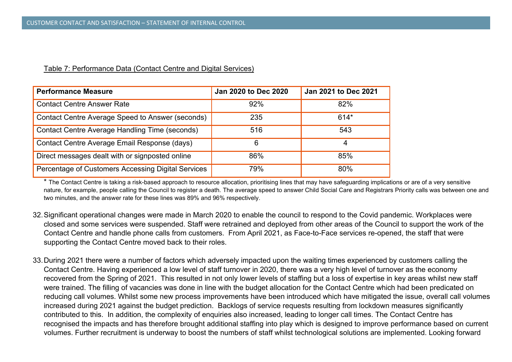| <b>Performance Measure</b>                            | <b>Jan 2020 to Dec 2020</b> | <b>Jan 2021 to Dec 2021</b> |
|-------------------------------------------------------|-----------------------------|-----------------------------|
| <b>Contact Centre Answer Rate</b>                     | 92%                         | 82%                         |
| Contact Centre Average Speed to Answer (seconds)      | 235                         | $614*$                      |
| <b>Contact Centre Average Handling Time (seconds)</b> | 516                         | 543                         |
| Contact Centre Average Email Response (days)          | 6                           | 4                           |
| Direct messages dealt with or signposted online       | 86%                         | 85%                         |
| Percentage of Customers Accessing Digital Services    | 79%                         | 80%                         |

## Table 7: Performance Data (Contact Centre and Digital Services)

\* The Contact Centre is taking a risk-based approach to resource allocation, prioritising lines that may have safeguarding implications or are of a very sensitive nature, for example, people calling the Council to register a death. The average speed to answer Child Social Care and Registrars Priority calls was between one and two minutes, and the answer rate for these lines was 89% and 96% respectively.

- 32.Significant operational changes were made in March 2020 to enable the council to respond to the Covid pandemic. Workplaces were closed and some services were suspended. Staff were retrained and deployed from other areas of the Council to support the work of the Contact Centre and handle phone calls from customers. From April 2021, as Face-to-Face services re-opened, the staff that were supporting the Contact Centre moved back to their roles.
- 33.During 2021 there were a number of factors which adversely impacted upon the waiting times experienced by customers calling the Contact Centre. Having experienced a low level of staff turnover in 2020, there was a very high level of turnover as the economy recovered from the Spring of 2021. This resulted in not only lower levels of staffing but a loss of expertise in key areas whilst new staff were trained. The filling of vacancies was done in line with the budget allocation for the Contact Centre which had been predicated on reducing call volumes. Whilst some new process improvements have been introduced which have mitigated the issue, overall call volumes increased during 2021 against the budget prediction. Backlogs of service requests resulting from lockdown measures significantly contributed to this. In addition, the complexity of enquiries also increased, leading to longer call times. The Contact Centre has recognised the impacts and has therefore brought additional staffing into play which is designed to improve performance based on current volumes. Further recruitment is underway to boost the numbers of staff whilst technological solutions are implemented. Looking forward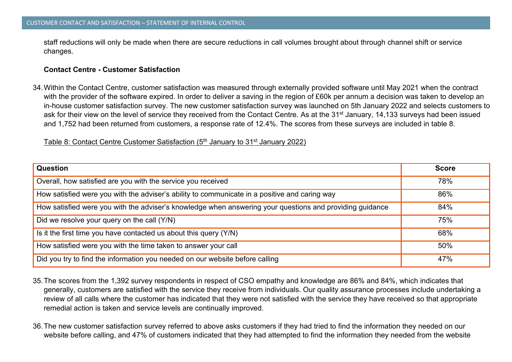staff reductions will only be made when there are secure reductions in call volumes brought about through channel shift or service changes.

#### **Contact Centre - Customer Satisfaction**

34.Within the Contact Centre, customer satisfaction was measured through externally provided software until May 2021 when the contract with the provider of the software expired. In order to deliver a saving in the region of £60k per annum a decision was taken to develop an in-house customer satisfaction survey. The new customer satisfaction survey was launched on 5th January 2022 and selects customers to ask for their view on the level of service they received from the Contact Centre. As at the 31<sup>st</sup> January, 14,133 surveys had been issued and 1,752 had been returned from customers, a response rate of 12.4%. The scores from these surveys are included in table 8.

Table 8: Contact Centre Customer Satisfaction (5<sup>th</sup> January to 31<sup>st</sup> January 2022)

| Question                                                                                                 | <b>Score</b> |
|----------------------------------------------------------------------------------------------------------|--------------|
| Overall, how satisfied are you with the service you received                                             | 78%          |
| How satisfied were you with the adviser's ability to communicate in a positive and caring way            | 86%          |
| How satisfied were you with the adviser's knowledge when answering your questions and providing guidance | 84%          |
| Did we resolve your query on the call (Y/N)                                                              | 75%          |
| Is it the first time you have contacted us about this query $(Y/N)$                                      | 68%          |
| How satisfied were you with the time taken to answer your call                                           | 50%          |
| Did you try to find the information you needed on our website before calling                             | 47%          |

- 35.The scores from the 1,392 survey respondents in respect of CSO empathy and knowledge are 86% and 84%, which indicates that generally, customers are satisfied with the service they receive from individuals. Our quality assurance processes include undertaking a review of all calls where the customer has indicated that they were not satisfied with the service they have received so that appropriate remedial action is taken and service levels are continually improved.
- 36.The new customer satisfaction survey referred to above asks customers if they had tried to find the information they needed on our website before calling, and 47% of customers indicated that they had attempted to find the information they needed from the website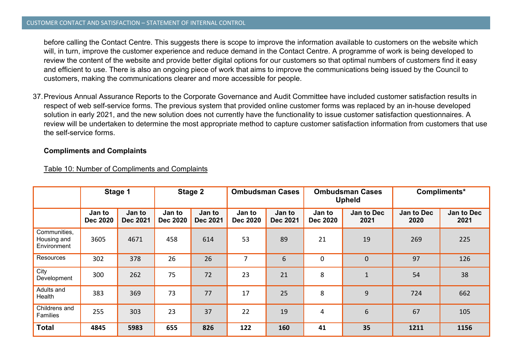#### CUSTOMER CONTACT AND SATISFACTION – STATEMENT OF INTERNAL CONTROL

before calling the Contact Centre. This suggests there is scope to improve the information available to customers on the website which will, in turn, improve the customer experience and reduce demand in the Contact Centre. A programme of work is being developed to review the content of the website and provide better digital options for our customers so that optimal numbers of customers find it easy and efficient to use. There is also an ongoing piece of work that aims to improve the communications being issued by the Council to customers, making the communications clearer and more accessible for people.

37.Previous Annual Assurance Reports to the Corporate Governance and Audit Committee have included customer satisfaction results in respect of web self-service forms. The previous system that provided online customer forms was replaced by an in-house developed solution in early 2021, and the new solution does not currently have the functionality to issue customer satisfaction questionnaires. A review will be undertaken to determine the most appropriate method to capture customer satisfaction information from customers that use the self-service forms.

#### **Compliments and Complaints**

|                                            | Stage 1                   |                           |                           | Stage 2                   | <b>Ombudsman Cases</b>    |                           | <b>Ombudsman Cases</b><br><b>Upheld</b> |                           | Compliments*              |                    |
|--------------------------------------------|---------------------------|---------------------------|---------------------------|---------------------------|---------------------------|---------------------------|-----------------------------------------|---------------------------|---------------------------|--------------------|
|                                            | Jan to<br><b>Dec 2020</b> | Jan to<br><b>Dec 2021</b> | Jan to<br><b>Dec 2020</b> | Jan to<br><b>Dec 2021</b> | Jan to<br><b>Dec 2020</b> | Jan to<br><b>Dec 2021</b> | Jan to<br><b>Dec 2020</b>               | <b>Jan to Dec</b><br>2021 | <b>Jan to Dec</b><br>2020 | Jan to Dec<br>2021 |
| Communities,<br>Housing and<br>Environment | 3605                      | 4671                      | 458                       | 614                       | 53                        | 89                        | 21                                      | 19                        | 269                       | 225                |
| Resources                                  | 302                       | 378                       | 26                        | 26                        | 7                         | 6                         | $\mathbf 0$                             | $\mathbf 0$               | 97                        | 126                |
| City<br>Development                        | 300                       | 262                       | 75                        | 72                        | 23                        | 21                        | 8                                       | $\mathbf{1}$              | 54                        | 38                 |
| Adults and<br>Health                       | 383                       | 369                       | 73                        | 77                        | 17                        | 25                        | 8                                       | 9                         | 724                       | 662                |
| Childrens and<br><b>Families</b>           | 255                       | 303                       | 23                        | 37                        | 22                        | 19                        | 4                                       | 6                         | 67                        | 105                |
| <b>Total</b>                               | 4845                      | 5983                      | 655                       | 826                       | 122                       | 160                       | 41                                      | 35                        | 1211                      | 1156               |

#### Table 10: Number of Compliments and Complaints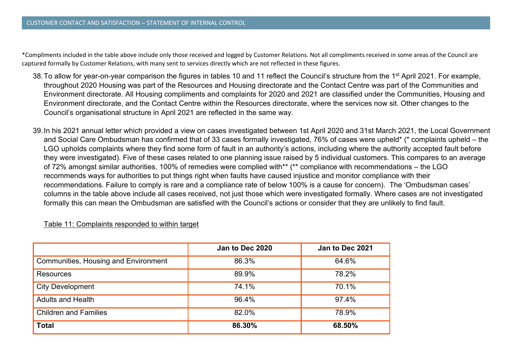\*Compliments included in the table above include only those received and logged by Customer Relations. Not all compliments received in some areas of the Council are captured formally by Customer Relations, with many sent to services directly which are not reflected in these figures.

- 38. To allow for year-on-year comparison the figures in tables 10 and 11 reflect the Council's structure from the 1<sup>st</sup> April 2021. For example, throughout 2020 Housing was part of the Resources and Housing directorate and the Contact Centre was part of the Communities and Environment directorate. All Housing compliments and complaints for 2020 and 2021 are classified under the Communities, Housing and Environment directorate, and the Contact Centre within the Resources directorate, where the services now sit. Other changes to the Council's organisational structure in April 2021 are reflected in the same way.
- 39.In his 2021 annual letter which provided a view on cases investigated between 1st April 2020 and 31st March 2021, the Local Government and Social Care Ombudsman has confirmed that of 33 cases formally investigated, 76% of cases were upheld\* (\* complaints upheld – the LGO upholds complaints where they find some form of fault in an authority's actions, including where the authority accepted fault before they were investigated). Five of these cases related to one planning issue raised by 5 individual customers. This compares to an average of 72% amongst similar authorities. 100% of remedies were complied with\*\* (\*\* compliance with recommendations – the LGO recommends ways for authorities to put things right when faults have caused injustice and monitor compliance with their recommendations. Failure to comply is rare and a compliance rate of below 100% is a cause for concern). The 'Ombudsman cases' columns in the table above include all cases received, not just those which were investigated formally. Where cases are not investigated formally this can mean the Ombudsman are satisfied with the Council's actions or consider that they are unlikely to find fault.

|                                             | Jan to Dec 2020 | Jan to Dec 2021 |
|---------------------------------------------|-----------------|-----------------|
| <b>Communities, Housing and Environment</b> | 86.3%           | 64.6%           |
| <b>Resources</b>                            | 89.9%           | 78.2%           |
| <b>City Development</b>                     | 74.1%           | 70.1%           |
| <b>Adults and Health</b>                    | 96.4%           | 97.4%           |
| <b>Children and Families</b>                | 82.0%           | 78.9%           |
| <b>Total</b>                                | 86.30%          | 68.50%          |

Table 11: Complaints responded to within target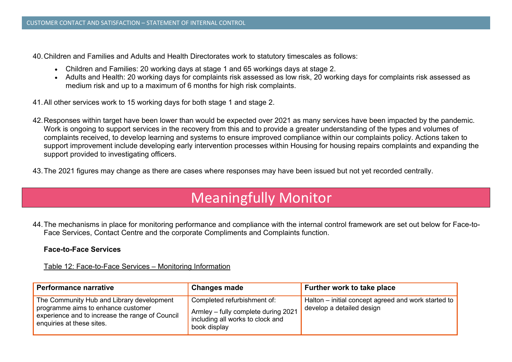40.Children and Families and Adults and Health Directorates work to statutory timescales as follows:

- Children and Families: 20 working days at stage 1 and 65 workings days at stage 2.
- Adults and Health: 20 working days for complaints risk assessed as low risk, 20 working days for complaints risk assessed as medium risk and up to a maximum of 6 months for high risk complaints.
- 41.All other services work to 15 working days for both stage 1 and stage 2.
- 42.Responses within target have been lower than would be expected over 2021 as many services have been impacted by the pandemic. Work is ongoing to support services in the recovery from this and to provide a greater understanding of the types and volumes of complaints received, to develop learning and systems to ensure improved compliance within our complaints policy. Actions taken to support improvement include developing early intervention processes within Housing for housing repairs complaints and expanding the support provided to investigating officers.
- 43.The 2021 figures may change as there are cases where responses may have been issued but not yet recorded centrally.

# Meaningfully Monitor

44.The mechanisms in place for monitoring performance and compliance with the internal control framework are set out below for Face-to-Face Services, Contact Centre and the corporate Compliments and Complaints function.

#### **Face-to-Face Services**

#### Table 12: Face-to-Face Services – Monitoring Information

| <b>Performance narrative</b>                                                                                                                                    | <b>Changes made</b>                                                                                                    | Further work to take place                                                       |
|-----------------------------------------------------------------------------------------------------------------------------------------------------------------|------------------------------------------------------------------------------------------------------------------------|----------------------------------------------------------------------------------|
| The Community Hub and Library development<br>programme aims to enhance customer<br>experience and to increase the range of Council<br>enquiries at these sites. | Completed refurbishment of:<br>Armley - fully complete during 2021<br>including all works to clock and<br>book display | Halton – initial concept agreed and work started to<br>develop a detailed design |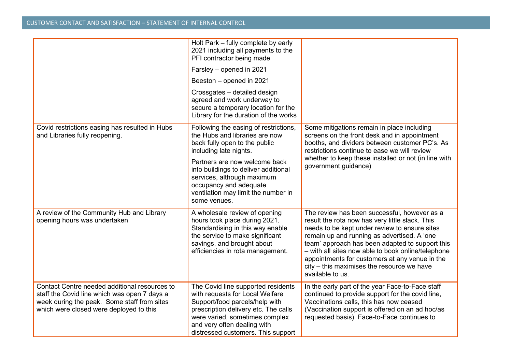|                                                                                                                                                                                         | Holt Park - fully complete by early<br>2021 including all payments to the<br>PFI contractor being made                                                                                                                                                 |                                                                                                                                                                                                                                                                                                                                                                                                                              |  |
|-----------------------------------------------------------------------------------------------------------------------------------------------------------------------------------------|--------------------------------------------------------------------------------------------------------------------------------------------------------------------------------------------------------------------------------------------------------|------------------------------------------------------------------------------------------------------------------------------------------------------------------------------------------------------------------------------------------------------------------------------------------------------------------------------------------------------------------------------------------------------------------------------|--|
|                                                                                                                                                                                         | Farsley - opened in 2021                                                                                                                                                                                                                               |                                                                                                                                                                                                                                                                                                                                                                                                                              |  |
|                                                                                                                                                                                         | Beeston - opened in 2021                                                                                                                                                                                                                               |                                                                                                                                                                                                                                                                                                                                                                                                                              |  |
|                                                                                                                                                                                         | Crossgates - detailed design<br>agreed and work underway to<br>secure a temporary location for the<br>Library for the duration of the works                                                                                                            |                                                                                                                                                                                                                                                                                                                                                                                                                              |  |
| Covid restrictions easing has resulted in Hubs<br>and Libraries fully reopening.                                                                                                        | Following the easing of restrictions,<br>the Hubs and libraries are now<br>back fully open to the public<br>including late nights.                                                                                                                     | Some mitigations remain in place including<br>screens on the front desk and in appointment<br>booths, and dividers between customer PC's. As<br>restrictions continue to ease we will review                                                                                                                                                                                                                                 |  |
|                                                                                                                                                                                         | Partners are now welcome back<br>into buildings to deliver additional<br>services, although maximum<br>occupancy and adequate<br>ventilation may limit the number in<br>some venues.                                                                   | whether to keep these installed or not (in line with<br>government guidance)                                                                                                                                                                                                                                                                                                                                                 |  |
| A review of the Community Hub and Library<br>opening hours was undertaken                                                                                                               | A wholesale review of opening<br>hours took place during 2021.<br>Standardising in this way enable<br>the service to make significant<br>savings, and brought about<br>efficiencies in rota management.                                                | The review has been successful, however as a<br>result the rota now has very little slack. This<br>needs to be kept under review to ensure sites<br>remain up and running as advertised. A 'one<br>team' approach has been adapted to support this<br>- with all sites now able to book online/telephone<br>appointments for customers at any venue in the<br>city - this maximises the resource we have<br>available to us. |  |
| Contact Centre needed additional resources to<br>staff the Covid line which was open 7 days a<br>week during the peak. Some staff from sites<br>which were closed were deployed to this | The Covid line supported residents<br>with requests for Local Welfare<br>Support/food parcels/help with<br>prescription delivery etc. The calls<br>were varied, sometimes complex<br>and very often dealing with<br>distressed customers. This support | In the early part of the year Face-to-Face staff<br>continued to provide support for the covid line,<br>Vaccinations calls, this has now ceased<br>(Vaccination support is offered on an ad hoc/as<br>requested basis). Face-to-Face continues to                                                                                                                                                                            |  |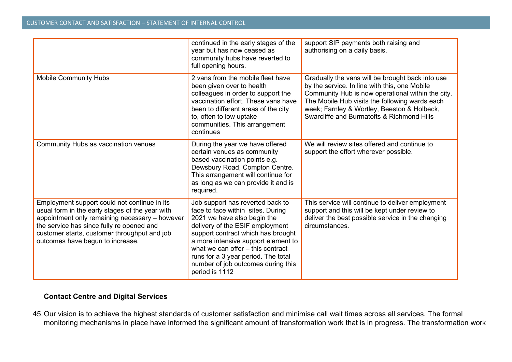|                                                                                                                                                                                                                                                                                    | continued in the early stages of the<br>year but has now ceased as<br>community hubs have reverted to<br>full opening hours.                                                                                                                                                                                                                             | support SIP payments both raising and<br>authorising on a daily basis.                                                                                                                                                                                                                                |
|------------------------------------------------------------------------------------------------------------------------------------------------------------------------------------------------------------------------------------------------------------------------------------|----------------------------------------------------------------------------------------------------------------------------------------------------------------------------------------------------------------------------------------------------------------------------------------------------------------------------------------------------------|-------------------------------------------------------------------------------------------------------------------------------------------------------------------------------------------------------------------------------------------------------------------------------------------------------|
| <b>Mobile Community Hubs</b>                                                                                                                                                                                                                                                       | 2 vans from the mobile fleet have<br>been given over to health<br>colleagues in order to support the<br>vaccination effort. These vans have<br>been to different areas of the city<br>to, often to low uptake<br>communities. This arrangement<br>continues                                                                                              | Gradually the vans will be brought back into use<br>by the service. In line with this, one Mobile<br>Community Hub is now operational within the city.<br>The Mobile Hub visits the following wards each<br>week; Farnley & Wortley, Beeston & Holbeck,<br>Swarcliffe and Burmatofts & Richmond Hills |
| Community Hubs as vaccination venues                                                                                                                                                                                                                                               | During the year we have offered<br>certain venues as community<br>based vaccination points e.g.<br>Dewsbury Road, Compton Centre.<br>This arrangement will continue for<br>as long as we can provide it and is<br>required.                                                                                                                              | We will review sites offered and continue to<br>support the effort wherever possible.                                                                                                                                                                                                                 |
| Employment support could not continue in its<br>usual form in the early stages of the year with<br>appointment only remaining necessary - however<br>the service has since fully re opened and<br>customer starts, customer throughput and job<br>outcomes have begun to increase. | Job support has reverted back to<br>face to face within sites. During<br>2021 we have also begin the<br>delivery of the ESIF employment<br>support contract which has brought<br>a more intensive support element to<br>what we can offer – this contract<br>runs for a 3 year period. The total<br>number of job outcomes during this<br>period is 1112 | This service will continue to deliver employment<br>support and this will be kept under review to<br>deliver the best possible service in the changing<br>circumstances.                                                                                                                              |

## **Contact Centre and Digital Services**

45.Our vision is to achieve the highest standards of customer satisfaction and minimise call wait times across all services. The formal monitoring mechanisms in place have informed the significant amount of transformation work that is in progress. The transformation work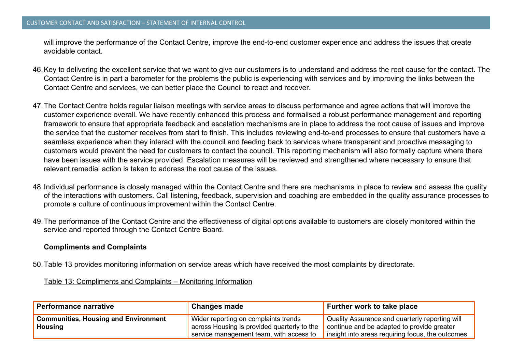#### CUSTOMER CONTACT AND SATISFACTION – STATEMENT OF INTERNAL CONTROL

will improve the performance of the Contact Centre, improve the end-to-end customer experience and address the issues that create avoidable contact.

- 46.Key to delivering the excellent service that we want to give our customers is to understand and address the root cause for the contact. The Contact Centre is in part a barometer for the problems the public is experiencing with services and by improving the links between the Contact Centre and services, we can better place the Council to react and recover.
- 47.The Contact Centre holds regular liaison meetings with service areas to discuss performance and agree actions that will improve the customer experience overall. We have recently enhanced this process and formalised a robust performance management and reporting framework to ensure that appropriate feedback and escalation mechanisms are in place to address the root cause of issues and improve the service that the customer receives from start to finish. This includes reviewing end-to-end processes to ensure that customers have a seamless experience when they interact with the council and feeding back to services where transparent and proactive messaging to customers would prevent the need for customers to contact the council. This reporting mechanism will also formally capture where there have been issues with the service provided. Escalation measures will be reviewed and strengthened where necessary to ensure that relevant remedial action is taken to address the root cause of the issues.
- 48.Individual performance is closely managed within the Contact Centre and there are mechanisms in place to review and assess the quality of the interactions with customers. Call listening, feedback, supervision and coaching are embedded in the quality assurance processes to promote a culture of continuous improvement within the Contact Centre.
- 49.The performance of the Contact Centre and the effectiveness of digital options available to customers are closely monitored within the service and reported through the Contact Centre Board.

#### **Compliments and Complaints**

50.Table 13 provides monitoring information on service areas which have received the most complaints by directorate.

Table 13: Compliments and Complaints – Monitoring Information

| Performance narrative                                         | Changes made                                                                                                                   | Further work to take place                                                                                                                       |
|---------------------------------------------------------------|--------------------------------------------------------------------------------------------------------------------------------|--------------------------------------------------------------------------------------------------------------------------------------------------|
| <b>Communities, Housing and Environment</b><br><b>Housing</b> | Wider reporting on complaints trends<br>across Housing is provided quarterly to the<br>service management team, with access to | Quality Assurance and quarterly reporting will<br>continue and be adapted to provide greater<br>insight into areas requiring focus, the outcomes |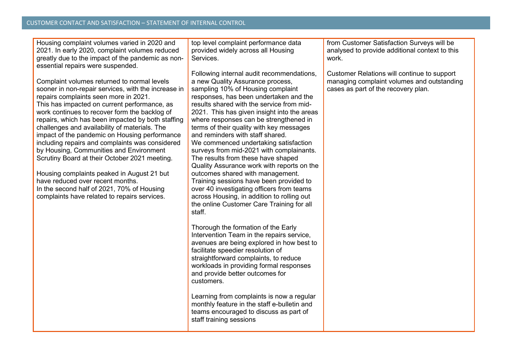Housing complaint volumes varied in 2020 and 2021. In early 2020, complaint volumes reduced greatly due to the impact of the pandemic as nonessential repairs were suspended.

Complaint volumes returned to normal levels sooner in non-repair services, with the increase in repairs complaints seen more in 2021. This has impacted on current performance, as work continues to recover form the backlog of repairs, which has been impacted by both staffing challenges and availability of materials. The impact of the pandemic on Housing performance including repairs and complaints was considered by [Housing, Communities and Environment](https://democracy.leeds.gov.uk/documents/g11383/Printed%20minutes%2021st-Oct-2021%2010.30%20Scrutiny%20Board%20Environment%20Housing%20and%20Communities.pdf?T=1)  [Scrutiny Board at their October 2021 meeting.](https://democracy.leeds.gov.uk/documents/g11383/Printed%20minutes%2021st-Oct-2021%2010.30%20Scrutiny%20Board%20Environment%20Housing%20and%20Communities.pdf?T=1)

Housing complaints peaked in August 21 but have reduced over recent months. In the second half of 2021, 70% of Housing complaints have related to repairs services.

top level complaint performance data provided widely across all Housing Services.

Following internal audit recommendations, a new Quality Assurance process, sampling 10% of Housing complaint responses, has been undertaken and the results shared with the service from mid-2021.  This has given insight into the areas where responses can be strengthened in terms of their quality with key messages and reminders with staff shared. We commenced undertaking satisfaction surveys from mid-2021 with complainants. The results from these have shaped Quality Assurance work with reports on the outcomes shared with management. Training sessions have been provided to over 40 investigating officers from teams across Housing, in addition to rolling out the online Customer Care Training for all staff.

Thorough the formation of the Early Intervention Team in the repairs service, avenues are being explored in how best to facilitate speedier resolution of straightforward complaints, to reduce workloads in providing formal responses and provide better outcomes for customers.

Learning from complaints is now a regular monthly feature in the staff e-bulletin and teams encouraged to discuss as part of staff training sessions

from Customer Satisfaction Surveys will be analysed to provide additional context to this work.

Customer Relations will continue to support managing complaint volumes and outstanding cases as part of the recovery plan.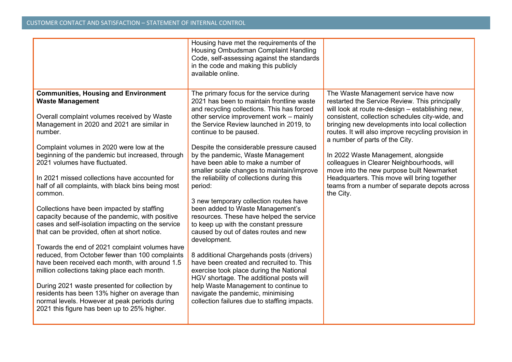|                                                                                                                                                                                                                                                                                                                                                                                                                                                                                                                                                                                                                                                                                                                                                                                                                                                                                                                                                                                                                                                   | Housing have met the requirements of the<br>Housing Ombudsman Complaint Handling<br>Code, self-assessing against the standards<br>in the code and making this publicly<br>available online.                                                                                                                                                                                                                                                                                                                                                                                                                                                                                                                                                                                                                                                                                                                                                                                                                             |                                                                                                                                                                                                                                                                                                                                                                                                                                                                                                                                                                                           |
|---------------------------------------------------------------------------------------------------------------------------------------------------------------------------------------------------------------------------------------------------------------------------------------------------------------------------------------------------------------------------------------------------------------------------------------------------------------------------------------------------------------------------------------------------------------------------------------------------------------------------------------------------------------------------------------------------------------------------------------------------------------------------------------------------------------------------------------------------------------------------------------------------------------------------------------------------------------------------------------------------------------------------------------------------|-------------------------------------------------------------------------------------------------------------------------------------------------------------------------------------------------------------------------------------------------------------------------------------------------------------------------------------------------------------------------------------------------------------------------------------------------------------------------------------------------------------------------------------------------------------------------------------------------------------------------------------------------------------------------------------------------------------------------------------------------------------------------------------------------------------------------------------------------------------------------------------------------------------------------------------------------------------------------------------------------------------------------|-------------------------------------------------------------------------------------------------------------------------------------------------------------------------------------------------------------------------------------------------------------------------------------------------------------------------------------------------------------------------------------------------------------------------------------------------------------------------------------------------------------------------------------------------------------------------------------------|
| <b>Communities, Housing and Environment</b><br><b>Waste Management</b><br>Overall complaint volumes received by Waste<br>Management in 2020 and 2021 are similar in<br>number.<br>Complaint volumes in 2020 were low at the<br>beginning of the pandemic but increased, through<br>2021 volumes have fluctuated.<br>In 2021 missed collections have accounted for<br>half of all complaints, with black bins being most<br>common.<br>Collections have been impacted by staffing<br>capacity because of the pandemic, with positive<br>cases and self-isolation impacting on the service<br>that can be provided, often at short notice.<br>Towards the end of 2021 complaint volumes have<br>reduced, from October fewer than 100 complaints<br>have been received each month, with around 1.5<br>million collections taking place each month.<br>During 2021 waste presented for collection by<br>residents has been 13% higher on average than<br>normal levels. However at peak periods during<br>2021 this figure has been up to 25% higher. | The primary focus for the service during<br>2021 has been to maintain frontline waste<br>and recycling collections. This has forced<br>other service improvement work – mainly<br>the Service Review launched in 2019, to<br>continue to be paused.<br>Despite the considerable pressure caused<br>by the pandemic, Waste Management<br>have been able to make a number of<br>smaller scale changes to maintain/improve<br>the reliability of collections during this<br>period:<br>3 new temporary collection routes have<br>been added to Waste Management's<br>resources. These have helped the service<br>to keep up with the constant pressure<br>caused by out of dates routes and new<br>development.<br>8 additional Chargehands posts (drivers)<br>have been created and recruited to. This<br>exercise took place during the National<br>HGV shortage. The additional posts will<br>help Waste Management to continue to<br>navigate the pandemic, minimising<br>collection failures due to staffing impacts. | The Waste Management service have now<br>restarted the Service Review. This principally<br>will look at route re-design - establishing new,<br>consistent, collection schedules city-wide, and<br>bringing new developments into local collection<br>routes. It will also improve recycling provision in<br>a number of parts of the City.<br>In 2022 Waste Management, alongside<br>colleagues in Clearer Neighbourhoods, will<br>move into the new purpose built Newmarket<br>Headquarters. This move will bring together<br>teams from a number of separate depots across<br>the City. |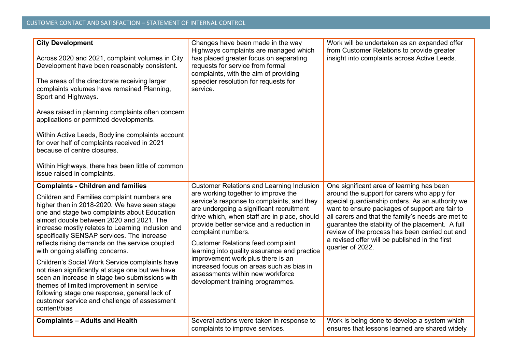| <b>City Development</b><br>Across 2020 and 2021, complaint volumes in City<br>Development have been reasonably consistent.<br>The areas of the directorate receiving larger<br>complaints volumes have remained Planning,<br>Sport and Highways.<br>Areas raised in planning complaints often concern<br>applications or permitted developments.<br>Within Active Leeds, Bodyline complaints account<br>for over half of complaints received in 2021<br>because of centre closures.<br>Within Highways, there has been little of common<br>issue raised in complaints.                                                                                                                                                                            | Changes have been made in the way<br>Highways complaints are managed which<br>has placed greater focus on separating<br>requests for service from formal<br>complaints, with the aim of providing<br>speedier resolution for requests for<br>service.                                                                                                                                                                                                                                                                                                     | Work will be undertaken as an expanded offer<br>from Customer Relations to provide greater<br>insight into complaints across Active Leeds.                                                                                                                                                                                                                                                                                     |
|---------------------------------------------------------------------------------------------------------------------------------------------------------------------------------------------------------------------------------------------------------------------------------------------------------------------------------------------------------------------------------------------------------------------------------------------------------------------------------------------------------------------------------------------------------------------------------------------------------------------------------------------------------------------------------------------------------------------------------------------------|-----------------------------------------------------------------------------------------------------------------------------------------------------------------------------------------------------------------------------------------------------------------------------------------------------------------------------------------------------------------------------------------------------------------------------------------------------------------------------------------------------------------------------------------------------------|--------------------------------------------------------------------------------------------------------------------------------------------------------------------------------------------------------------------------------------------------------------------------------------------------------------------------------------------------------------------------------------------------------------------------------|
| <b>Complaints - Children and families</b><br>Children and Families complaint numbers are<br>higher than in 2018-2020. We have seen stage<br>one and stage two complaints about Education<br>almost double between 2020 and 2021. The<br>increase mostly relates to Learning Inclusion and<br>specifically SENSAP services. The increase<br>reflects rising demands on the service coupled<br>with ongoing staffing concerns.<br>Children's Social Work Service complaints have<br>not risen significantly at stage one but we have<br>seen an increase in stage two submissions with<br>themes of limited improvement in service<br>following stage one response, general lack of<br>customer service and challenge of assessment<br>content/bias | <b>Customer Relations and Learning Inclusion</b><br>are working together to improve the<br>service's response to complaints, and they<br>are undergoing a significant recruitment<br>drive which, when staff are in place, should<br>provide better service and a reduction in<br>complaint numbers.<br><b>Customer Relations feed complaint</b><br>learning into quality assurance and practice<br>improvement work plus there is an<br>increased focus on areas such as bias in<br>assessments within new workforce<br>development training programmes. | One significant area of learning has been<br>around the support for carers who apply for<br>special guardianship orders. As an authority we<br>want to ensure packages of support are fair to<br>all carers and that the family's needs are met to<br>guarantee the stability of the placement. A full<br>review of the process has been carried out and<br>a revised offer will be published in the first<br>quarter of 2022. |
| <b>Complaints - Adults and Health</b>                                                                                                                                                                                                                                                                                                                                                                                                                                                                                                                                                                                                                                                                                                             | Several actions were taken in response to<br>complaints to improve services.                                                                                                                                                                                                                                                                                                                                                                                                                                                                              | Work is being done to develop a system which<br>ensures that lessons learned are shared widely                                                                                                                                                                                                                                                                                                                                 |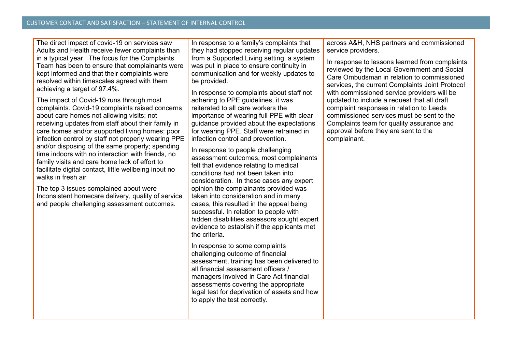The direct impact of covid-19 on services saw Adults and Health receive fewer complaints than in a typical year. The focus for the Complaints Team has been to ensure that complainants were kept informed and that their complaints were resolved within timescales agreed with them achieving a target of 97.4%.

The impact of Covid-19 runs through most complaints. Covid-19 complaints raised concerns about care homes not allowing visits; not receiving updates from staff about their family in care homes and/or supported living homes; poor infection control by staff not properly wearing PPE and/or disposing of the same properly; spending time indoors with no interaction with friends, no family visits and care home lack of effort to facilitate digital contact, little wellbeing input no walks in fresh air

The top 3 issues complained about were Inconsistent homecare delivery, quality of service and people challenging assessment outcomes.

In response to a family's complaints that they had stopped receiving regular updates from a Supported Living setting, a system was put in place to ensure continuity in communication and for weekly updates to be provided.

In response to complaints about staff not adhering to PPE guidelines, it was reiterated to all care workers the importance of wearing full PPE with clear guidance provided about the expectations for wearing PPE. Staff were retrained in infection control and prevention.

In response to people challenging assessment outcomes, most complainants felt that evidence relating to medical conditions had not been taken into consideration. In these cases any expert opinion the complainants provided was taken into consideration and in many cases, this resulted in the appeal being successful. In relation to people with hidden disabilities assessors sought expert evidence to establish if the applicants met the criteria.

In response to some complaints challenging outcome of financial assessment, training has been delivered to all financial assessment officers / managers involved in Care Act financial assessments covering the appropriate legal test for deprivation of assets and how to apply the test correctly.

across A&H, NHS partners and commissioned service providers.

In response to lessons learned from complaints reviewed by the Local Government and Social Care Ombudsman in relation to commissioned services, the current Complaints Joint Protocol with commissioned service providers will be updated to include a request that all draft complaint responses in relation to Leeds commissioned services must be sent to the Complaints team for quality assurance and approval before they are sent to the complainant.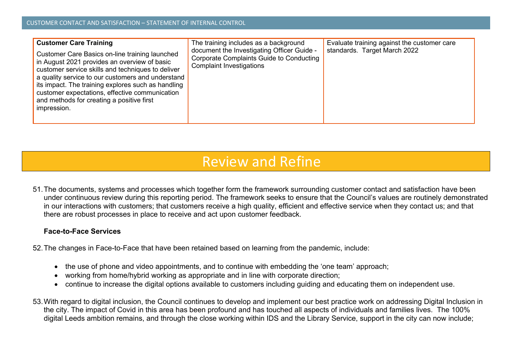| <b>Customer Care Training</b><br>Customer Care Basics on-line training launched<br>in August 2021 provides an overview of basic<br>customer service skills and techniques to deliver<br>a quality service to our customers and understand<br>its impact. The training explores such as handling<br>customer expectations, effective communication<br>and methods for creating a positive first<br>impression. | The training includes as a background<br>document the Investigating Officer Guide -<br><b>Corporate Complaints Guide to Conducting</b><br><b>Complaint Investigations</b> | Evaluate training against the customer care<br>standards. Target March 2022 |
|---------------------------------------------------------------------------------------------------------------------------------------------------------------------------------------------------------------------------------------------------------------------------------------------------------------------------------------------------------------------------------------------------------------|---------------------------------------------------------------------------------------------------------------------------------------------------------------------------|-----------------------------------------------------------------------------|
|                                                                                                                                                                                                                                                                                                                                                                                                               |                                                                                                                                                                           |                                                                             |

## Review and Refine

51.The documents, systems and processes which together form the framework surrounding customer contact and satisfaction have been under continuous review during this reporting period. The framework seeks to ensure that the Council's values are routinely demonstrated in our interactions with customers; that customers receive a high quality, efficient and effective service when they contact us; and that there are robust processes in place to receive and act upon customer feedback.

### **Face-to-Face Services**

52.The changes in Face-to-Face that have been retained based on learning from the pandemic, include:

- the use of phone and video appointments, and to continue with embedding the 'one team' approach;
- working from home/hybrid working as appropriate and in line with corporate direction;
- continue to increase the digital options available to customers including guiding and educating them on independent use.
- 53.With regard to digital inclusion, the Council continues to develop and implement our best practice work on addressing Digital Inclusion in the city. The impact of Covid in this area has been profound and has touched all aspects of individuals and families lives. The 100% digital Leeds ambition remains, and through the close working within IDS and the Library Service, support in the city can now include;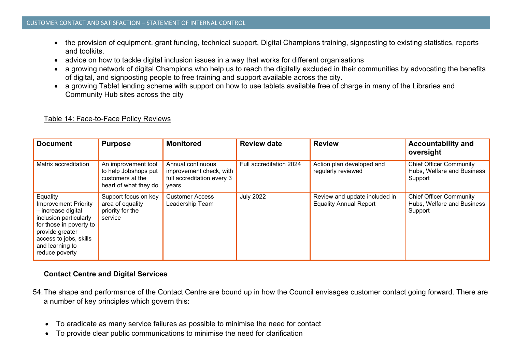- the provision of equipment, grant funding, technical support, Digital Champions training, signposting to existing statistics, reports and toolkits.
- advice on how to tackle digital inclusion issues in a way that works for different organisations
- a growing network of digital Champions who help us to reach the digitally excluded in their communities by advocating the benefits of digital, and signposting people to free training and support available across the city.
- a growing Tablet lending scheme with support on how to use tablets available free of charge in many of the Libraries and Community Hub sites across the city

| <b>Document</b>                                                                                                                                                                                      | <b>Purpose</b>                                                                           | <b>Monitored</b>                                                                    | <b>Review date</b>      | <b>Review</b>                                                  | <b>Accountability and</b><br>oversight                                  |
|------------------------------------------------------------------------------------------------------------------------------------------------------------------------------------------------------|------------------------------------------------------------------------------------------|-------------------------------------------------------------------------------------|-------------------------|----------------------------------------------------------------|-------------------------------------------------------------------------|
| Matrix accreditation                                                                                                                                                                                 | An improvement tool<br>to help Jobshops put<br>customers at the<br>heart of what they do | Annual continuous<br>improvement check, with<br>full accreditation every 3<br>vears | Full accreditation 2024 | Action plan developed and<br>regularly reviewed                | <b>Chief Officer Community</b><br>Hubs, Welfare and Business<br>Support |
| Equality<br><b>Improvement Priority</b><br>- increase digital<br>inclusion particularly<br>for those in poverty to<br>provide greater<br>access to jobs, skills<br>and learning to<br>reduce poverty | Support focus on key<br>area of equality<br>priority for the<br>service                  | <b>Customer Access</b><br>Leadership Team                                           | <b>July 2022</b>        | Review and update included in<br><b>Equality Annual Report</b> | <b>Chief Officer Community</b><br>Hubs, Welfare and Business<br>Support |

### **Contact Centre and Digital Services**

- 54.The shape and performance of the Contact Centre are bound up in how the Council envisages customer contact going forward. There are a number of key principles which govern this:
	- To eradicate as many service failures as possible to minimise the need for contact
	- To provide clear public communications to minimise the need for clarification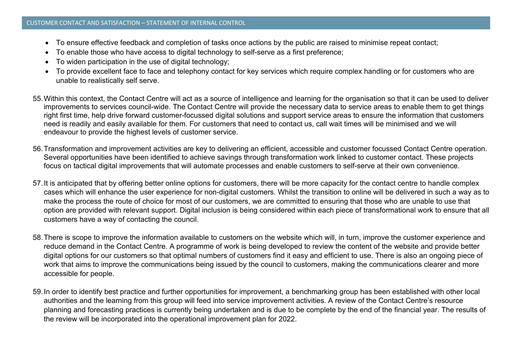- To ensure effective feedback and completion of tasks once actions by the public are raised to minimise repeat contact;
- To enable those who have access to digital technology to self-serve as a first preference;
- To widen participation in the use of digital technology:
- To provide excellent face to face and telephony contact for key services which require complex handling or for customers who are unable to realistically self serve.
- 55.Within this context, the Contact Centre will act as a source of intelligence and learning for the organisation so that it can be used to deliver improvements to services council-wide. The Contact Centre will provide the necessary data to service areas to enable them to get things right first time, help drive forward customer-focussed digital solutions and support service areas to ensure the information that customers need is readily and easily available for them. For customers that need to contact us, call wait times will be minimised and we will endeavour to provide the highest levels of customer service.
- 56.Transformation and improvement activities are key to delivering an efficient, accessible and customer focussed Contact Centre operation. Several opportunities have been identified to achieve savings through transformation work linked to customer contact. These projects focus on tactical digital improvements that will automate processes and enable customers to self-serve at their own convenience.
- 57.It is anticipated that by offering better online options for customers, there will be more capacity for the contact centre to handle complex cases which will enhance the user experience for non-digital customers. Whilst the transition to online will be delivered in such a way as to make the process the route of choice for most of our customers, we are committed to ensuring that those who are unable to use that option are provided with relevant support. Digital inclusion is being considered within each piece of transformational work to ensure that all customers have a way of contacting the council.
- 58.There is scope to improve the information available to customers on the website which will, in turn, improve the customer experience and reduce demand in the Contact Centre. A programme of work is being developed to review the content of the website and provide better digital options for our customers so that optimal numbers of customers find it easy and efficient to use. There is also an ongoing piece of work that aims to improve the communications being issued by the council to customers, making the communications clearer and more accessible for people.
- 59.In order to identify best practice and further opportunities for improvement, a benchmarking group has been established with other local authorities and the learning from this group will feed into service improvement activities. A review of the Contact Centre's resource planning and forecasting practices is currently being undertaken and is due to be complete by the end of the financial year. The results of the review will be incorporated into the operational improvement plan for 2022.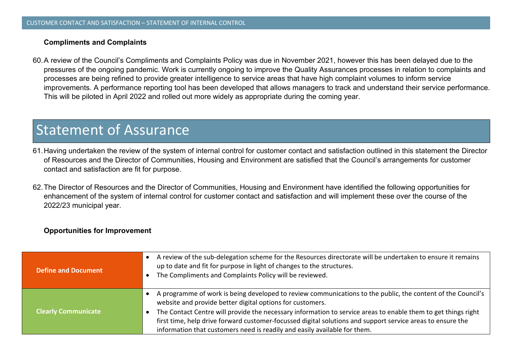#### **Compliments and Complaints**

60.A review of the Council's Compliments and Complaints Policy was due in November 2021, however this has been delayed due to the pressures of the ongoing pandemic. Work is currently ongoing to improve the Quality Assurances processes in relation to complaints and processes are being refined to provide greater intelligence to service areas that have high complaint volumes to inform service improvements. A performance reporting tool has been developed that allows managers to track and understand their service performance. This will be piloted in April 2022 and rolled out more widely as appropriate during the coming year.

## Statement of Assurance

- 61.Having undertaken the review of the system of internal control for customer contact and satisfaction outlined in this statement the Director of Resources and the Director of Communities, Housing and Environment are satisfied that the Council's arrangements for customer contact and satisfaction are fit for purpose.
- 62.The Director of Resources and the Director of Communities, Housing and Environment have identified the following opportunities for enhancement of the system of internal control for customer contact and satisfaction and will implement these over the course of the 2022/23 municipal year.

#### **Opportunities for Improvement**

| <b>Define and Document</b> | A review of the sub-delegation scheme for the Resources directorate will be undertaken to ensure it remains<br>up to date and fit for purpose in light of changes to the structures.<br>The Compliments and Complaints Policy will be reviewed.                                           |
|----------------------------|-------------------------------------------------------------------------------------------------------------------------------------------------------------------------------------------------------------------------------------------------------------------------------------------|
| <b>Clearly Communicate</b> | A programme of work is being developed to review communications to the public, the content of the Council's<br>website and provide better digital options for customers.<br>The Contact Centre will provide the necessary information to service areas to enable them to get things right |
|                            | first time, help drive forward customer-focussed digital solutions and support service areas to ensure the<br>information that customers need is readily and easily available for them.                                                                                                   |